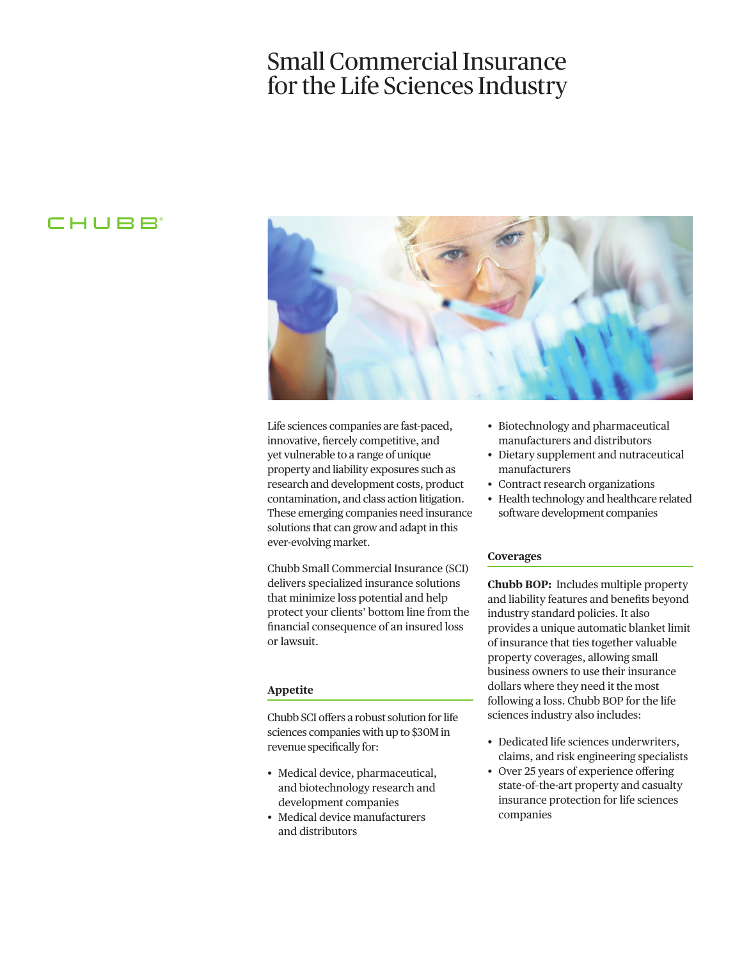# Small Commercial Insurance for the Life Sciences Industry

# CHUBB



Life sciences companies are fast-paced, innovative, fercely competitive, and yet vulnerable to a range of unique property and liability exposures such as research and development costs, product contamination, and class action litigation. These emerging companies need insurance solutions that can grow and adapt in this ever-evolving market.

Chubb Small Commercial Insurance (SCI) delivers specialized insurance solutions that minimize loss potential and help protect your clients' bottom line from the fnancial consequence of an insured loss or lawsuit.

#### **Appetite**

Chubb SCI ofers a robust solution for life sciences companies with up to \$30M in revenue specifcally for:

- Medical device, pharmaceutical, and biotechnology research and development companies
- Medical device manufacturers and distributors
- Biotechnology and pharmaceutical manufacturers and distributors
- Dietary supplement and nutraceutical manufacturers
- Contract research organizations
- Health technology and healthcare related software development companies

#### **Coverages**

**Chubb BOP:** Includes multiple property and liability features and benefts beyond industry standard policies. It also provides a unique automatic blanket limit of insurance that ties together valuable property coverages, allowing small business owners to use their insurance dollars where they need it the most following a loss. Chubb BOP for the life sciences industry also includes:

- Dedicated life sciences underwriters, claims, and risk engineering specialists
- Over 25 years of experience offering state-of–the-art property and casualty insurance protection for life sciences companies